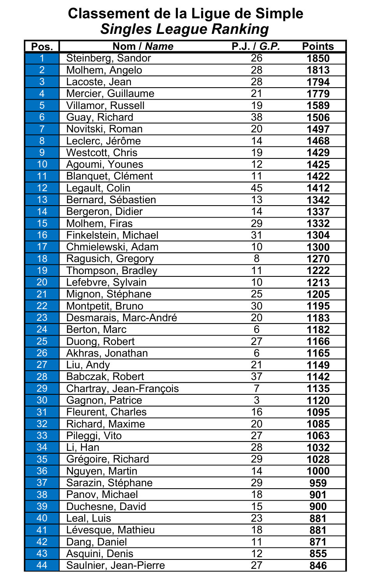|                 |                          | $\checkmark$    |               |
|-----------------|--------------------------|-----------------|---------------|
| Pos.            | Nom / Name               | P.J. / G.P.     | <b>Points</b> |
|                 | Steinberg, Sandor        | 26              | 1850          |
| $\overline{2}$  | Molhem, Angelo           | 28              | 1813          |
| 3               | Lacoste, Jean            | 28              | 1794          |
| $\overline{4}$  | Mercier, Guillaume       | 21              | 1779          |
| 5               | <b>Villamor, Russell</b> | 19              | 1589          |
| 6               | Guay, Richard            | 38              | 1506          |
| $\overline{7}$  | Novitski, Roman          | 20              | 1497          |
| 8               | Leclerc, Jérôme          | 14              | 1468          |
| 9               | <b>Westcott, Chris</b>   | 19              | 1429          |
| 10              | Agoumi, Younes           | 12              | 1425          |
| 11              | Blanquet, Clément        | 11              | 1422          |
| 12 <sub>2</sub> | Legault, Colin           | 45              | 1412          |
| 13              | Bernard, Sébastien       | 13              | 1342          |
| 14              | Bergeron, Didier         | 14              | 1337          |
| 15              | Molhem, Firas            | 29              | 1332          |
| 16              | Finkelstein, Michael     | 31              | 1304          |
| 17              | Chmielewski, Adam        | 10              | 1300          |
| 18              | Ragusich, Gregory        | 8               | 1270          |
| 19              | Thompson, Bradley        | 11              | 1222          |
| 20              | Lefebvre, Sylvain        | 10              | 1213          |
| 21              | Mignon, Stéphane         | 25              | 1205          |
| 22              | Montpetit, Bruno         | 30              | 1195          |
| 23              | Desmarais, Marc-André    | 20              | 1183          |
| 24              | Berton, Marc             | 6               | 1182          |
| 25              | Duong, Robert            | 27              | 1166          |
| 26              | Akhras, Jonathan         | 6               | 1165          |
| 27              | Liu, Andy                | 21              | 1149          |
| 28              | Babczak, Robert          | 37              | 1142          |
| 29              | Chartray, Jean-François  |                 | 1135          |
| 30              | Gagnon, Patrice          | $3\overline{3}$ | 1120          |
| 31              | <b>Fleurent, Charles</b> | 16              | 1095          |
| 32              | Richard, Maxime          | 20              | 1085          |
| 33              | Pileggi, Vito            | 27              | 1063          |
| 34              | Li, Han                  | 28              | 1032          |
| 35              | Grégoire, Richard        | 29              | 1028          |
| 36              | Nguyen, Martin           | 14              | 1000          |
| 37              | Sarazin, Stéphane        | 29              | 959           |
| 38              | Panov, Michael           | 18              | 901           |
| 39              | Duchesne, David          | 15              | 900           |
| 40              | Leal, Luis               | 23              | 881           |
| 41              | Lévesque, Mathieu        | 18              | 881           |
| 42              | Dang, Daniel             | 11              | 871           |
| 43              | Asquini, Denis           | 12              | 855           |
| 44              | Saulnier, Jean-Pierre    | 27              | 846           |

## Classement de la Ligue de Simple Singles League Ranking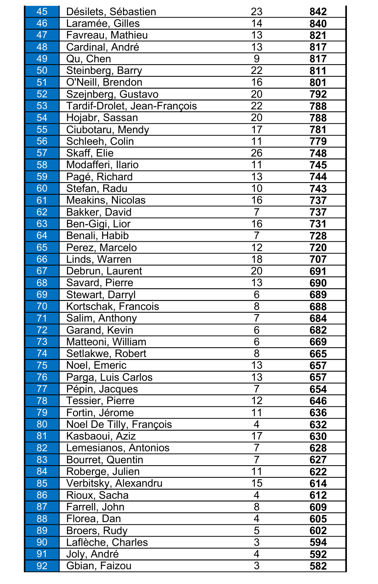| 45 | Désilets, Sébastien                 | 23             | 842 |
|----|-------------------------------------|----------------|-----|
| 46 | Laramée, Gilles                     | 14             | 840 |
| 47 | Favreau, Mathieu                    | 13             | 821 |
| 48 | Cardinal, André                     | 13             | 817 |
| 49 | Qu, Chen                            | 9              | 817 |
| 50 | Steinberg, Barry                    | 22             | 811 |
| 51 | O'Neill, Brendon                    | 16             | 801 |
| 52 | Szejnberg, Gustavo                  | 20             | 792 |
| 53 | <b>Tardif-Drolet, Jean-François</b> | 22             | 788 |
| 54 | Hojabr, Sassan                      | 20             | 788 |
| 55 | Ciubotaru, Mendy                    | 17             | 781 |
| 56 | Schleeh, Colin                      | 11             | 779 |
| 57 | <b>Skaff, Elie</b>                  | 26             | 748 |
| 58 | Modafferi, Ilario                   | 11             | 745 |
| 59 | Pagé, Richard                       | 13             | 744 |
| 60 | Stefan, Radu                        | 10             | 743 |
| 61 | <b>Meakins, Nicolas</b>             | 16             | 737 |
| 62 | <b>Bakker, David</b>                |                | 737 |
| 63 | Ben-Gigi, Lior                      | 16             | 731 |
| 64 | Benali, Habib                       |                | 728 |
| 65 | Perez, Marcelo                      | 12             | 720 |
| 66 | Linds, Warren                       | 18             | 707 |
| 67 | Debrun, Laurent                     | 20             | 691 |
| 68 | Savard, Pierre                      | 13             | 690 |
| 69 | <b>Stewart, Darryl</b>              | 6              | 689 |
| 70 | Kortschak, Francois                 | 8              | 688 |
| 71 | Salim, Anthony                      |                | 684 |
| 72 | Garand, Kevin                       | 6              | 682 |
| 73 | Matteoni, William                   | 6              | 669 |
| 74 | Setlakwe, Robert                    | 8              | 665 |
| 75 | Noel, Emeric                        | 13             | 657 |
| 76 | Parga, Luis Carlos                  | 13             | 657 |
| 77 | Pépin, Jacques                      |                | 654 |
| 78 | <b>Tessier, Pierre</b>              | 12             | 646 |
| 79 | Fortin, Jérome                      | 11             | 636 |
| 80 | Noel De Tilly, François             | 4              | 632 |
| 81 | Kasbaoui, Aziz                      | 17             | 630 |
| 82 | Lemesianos, Antonios                |                | 628 |
| 83 | Bourret, Quentin                    |                | 627 |
| 84 | Roberge, Julien                     | 11             | 622 |
| 85 | Verbitsky, Alexandru                | 15             | 614 |
| 86 | Rioux, Sacha                        | 4              | 612 |
| 87 | Farrell, John                       | 8              | 609 |
| 88 | Florea, Dan                         | 4              | 605 |
| 89 | Broers, Rudy                        | 5              | 602 |
| 90 | Laflèche, Charles                   | 3              | 594 |
| 91 | Joly, André                         | $\overline{4}$ | 592 |
| 92 | Gbian, Faizou                       | 3              | 582 |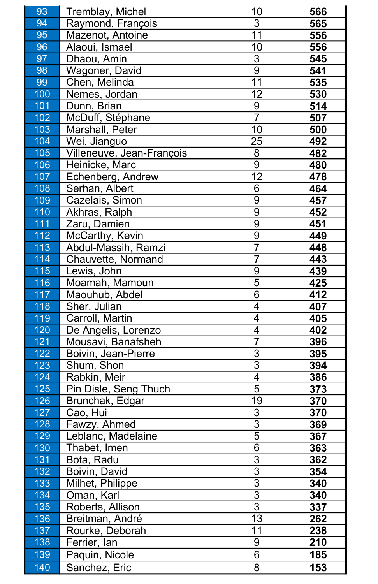| 93  | <b>Tremblay, Michel</b>   | 10 | 566 |
|-----|---------------------------|----|-----|
| 94  | Raymond, François         | 3  | 565 |
| 95  | Mazenot, Antoine          | 11 | 556 |
| 96  | Alaoui, Ismael            | 10 | 556 |
| 97  | Dhaou, Amin               | 3  | 545 |
| 98  | <b>Wagoner, David</b>     | 9  | 541 |
| 99  | Chen, Melinda             | 11 | 535 |
| 100 | Nemes, Jordan             | 12 | 530 |
| 101 | Dunn, Brian               | 9  | 514 |
| 102 | McDuff, Stéphane          | 7  | 507 |
| 103 | Marshall, Peter           | 10 | 500 |
| 104 | Wei, Jianguo              | 25 | 492 |
| 105 | Villeneuve, Jean-François | 8  | 482 |
| 106 | Heinicke, Marc            | 9  | 480 |
| 107 | Echenberg, Andrew         | 12 | 478 |
| 108 | Serhan, Albert            | 6  | 464 |
| 109 | Cazelais, Simon           | 9  | 457 |
| 110 | Akhras, Ralph             | 9  | 452 |
| 111 | Zaru, Damien              | 9  | 451 |
| 112 | McCarthy, Kevin           | 9  | 449 |
| 113 | Abdul-Massih, Ramzi       |    | 448 |
| 114 | <b>Chauvette, Normand</b> |    | 443 |
| 115 | Lewis, John               | 9  | 439 |
| 116 | Moamah, Mamoun            | 5  | 425 |
| 117 | Maouhub, Abdel            | 6  | 412 |
| 118 | Sher, Julian              | 4  | 407 |
| 119 | Carroll, Martin           | 4  | 405 |
| 120 | De Angelis, Lorenzo       | 4  | 402 |
| 121 | Mousavi, Banafsheh        |    | 396 |
| 122 | Boivin, Jean-Pierre       | 3  | 395 |
| 123 | Shum, Shon                | 3  | 394 |
| 124 | Rabkin, Meir              | 4  | 386 |
| 125 | Pin Disle, Seng Thuch     | 5  | 373 |
| 126 | Brunchak, Edgar           | 19 | 370 |
| 127 | Cao, Hui                  | 3  | 370 |
| 128 | Fawzy, Ahmed              | 3  | 369 |
| 129 | Leblanc, Madelaine        | 5  | 367 |
| 130 | Thabet, Imen              | 6  | 363 |
| 131 | Bota, Radu                | 3  | 362 |
| 132 | Boivin, David             | 3  | 354 |
| 133 | Milhet, Philippe          | 3  | 340 |
| 134 | Oman, Karl                | 3  | 340 |
| 135 | Roberts, Allison          | 3  | 337 |
| 136 | Breitman, André           | 13 | 262 |
| 137 | Rourke, Deborah           | 11 | 238 |
| 138 | Ferrier, lan              | 9  | 210 |
| 139 | Paquin, Nicole            | 6  | 185 |
| 140 | Sanchez, Eric             | 8  | 153 |